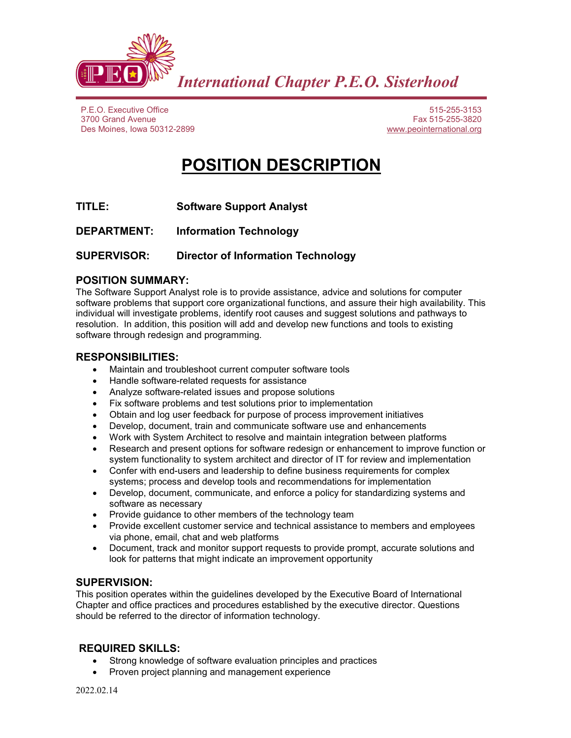

P.E.O. Executive Office 3700 Grand Avenue Des Moines, Iowa 50312-2899

515-255-3153 Fax 515-255-3820 www.peointernational.org

# **POSITION DESCRIPTION**

- **TITLE: Software Support Analyst**
- **DEPARTMENT: Information Technology**

## **SUPERVISOR: Director of Information Technology**

#### **POSITION SUMMARY:**

The Software Support Analyst role is to provide assistance, advice and solutions for computer software problems that support core organizational functions, and assure their high availability. This individual will investigate problems, identify root causes and suggest solutions and pathways to resolution. In addition, this position will add and develop new functions and tools to existing software through redesign and programming.

#### **RESPONSIBILITIES:**

- Maintain and troubleshoot current computer software tools
- Handle software-related requests for assistance
- Analyze software-related issues and propose solutions
- Fix software problems and test solutions prior to implementation
- Obtain and log user feedback for purpose of process improvement initiatives
- Develop, document, train and communicate software use and enhancements
- Work with System Architect to resolve and maintain integration between platforms
- Research and present options for software redesign or enhancement to improve function or system functionality to system architect and director of IT for review and implementation
- Confer with end-users and leadership to define business requirements for complex systems; process and develop tools and recommendations for implementation
- Develop, document, communicate, and enforce a policy for standardizing systems and software as necessary
- Provide guidance to other members of the technology team
- Provide excellent customer service and technical assistance to members and employees via phone, email, chat and web platforms
- Document, track and monitor support requests to provide prompt, accurate solutions and look for patterns that might indicate an improvement opportunity

#### **SUPERVISION:**

This position operates within the guidelines developed by the Executive Board of International Chapter and office practices and procedures established by the executive director. Questions should be referred to the director of information technology.

### **REQUIRED SKILLS:**

- Strong knowledge of software evaluation principles and practices
- Proven project planning and management experience